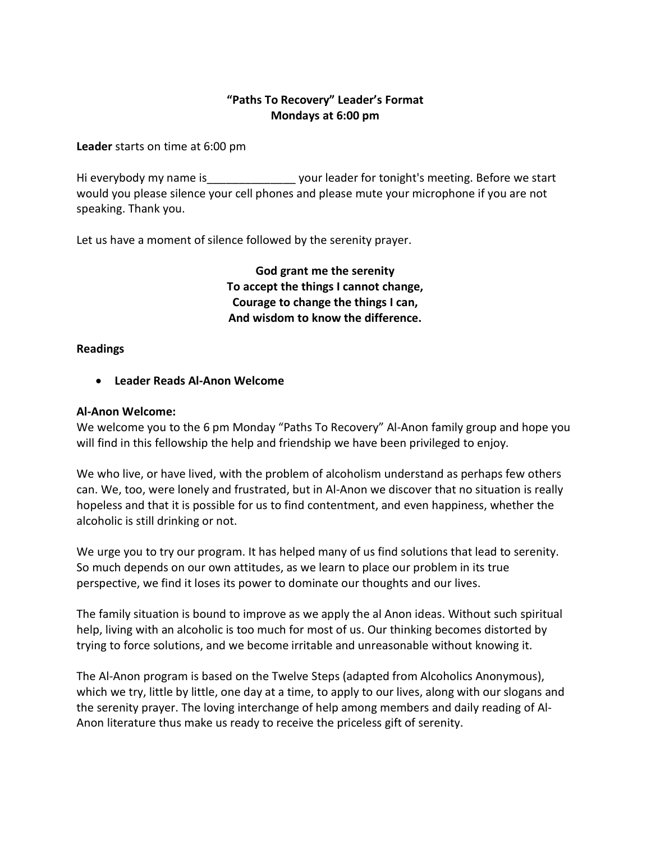# **"Paths To Recovery" Leader's Format Mondays at 6:00 pm**

**Leader** starts on time at 6:00 pm

Hi everybody my name is \_\_\_\_\_\_\_\_\_\_\_\_\_\_\_ your leader for tonight's meeting. Before we start would you please silence your cell phones and please mute your microphone if you are not speaking. Thank you.

Let us have a moment of silence followed by the serenity prayer.

**God grant me the serenity To accept the things I cannot change, Courage to change the things I can, And wisdom to know the difference.**

#### **Readings**

• **Leader Reads Al-Anon Welcome**

#### **Al-Anon Welcome:**

We welcome you to the 6 pm Monday "Paths To Recovery" Al-Anon family group and hope you will find in this fellowship the help and friendship we have been privileged to enjoy.

We who live, or have lived, with the problem of alcoholism understand as perhaps few others can. We, too, were lonely and frustrated, but in Al-Anon we discover that no situation is really hopeless and that it is possible for us to find contentment, and even happiness, whether the alcoholic is still drinking or not.

We urge you to try our program. It has helped many of us find solutions that lead to serenity. So much depends on our own attitudes, as we learn to place our problem in its true perspective, we find it loses its power to dominate our thoughts and our lives.

The family situation is bound to improve as we apply the al Anon ideas. Without such spiritual help, living with an alcoholic is too much for most of us. Our thinking becomes distorted by trying to force solutions, and we become irritable and unreasonable without knowing it.

The Al-Anon program is based on the Twelve Steps (adapted from Alcoholics Anonymous), which we try, little by little, one day at a time, to apply to our lives, along with our slogans and the serenity prayer. The loving interchange of help among members and daily reading of Al-Anon literature thus make us ready to receive the priceless gift of serenity.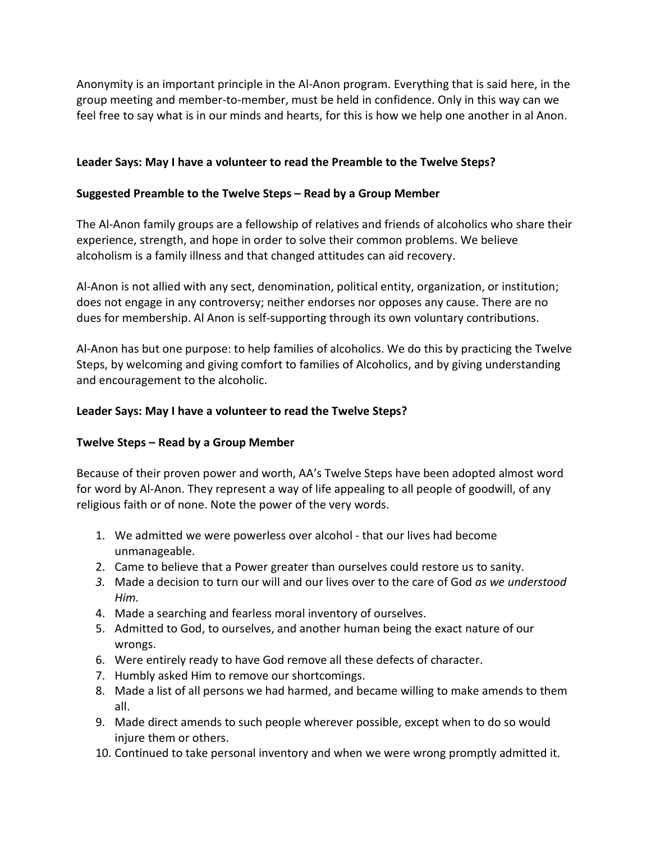Anonymity is an important principle in the Al-Anon program. Everything that is said here, in the group meeting and member-to-member, must be held in confidence. Only in this way can we feel free to say what is in our minds and hearts, for this is how we help one another in al Anon.

## **Leader Says: May I have a volunteer to read the Preamble to the Twelve Steps?**

### **Suggested Preamble to the Twelve Steps – Read by a Group Member**

The Al-Anon family groups are a fellowship of relatives and friends of alcoholics who share their experience, strength, and hope in order to solve their common problems. We believe alcoholism is a family illness and that changed attitudes can aid recovery.

Al-Anon is not allied with any sect, denomination, political entity, organization, or institution; does not engage in any controversy; neither endorses nor opposes any cause. There are no dues for membership. Al Anon is self-supporting through its own voluntary contributions.

Al-Anon has but one purpose: to help families of alcoholics. We do this by practicing the Twelve Steps, by welcoming and giving comfort to families of Alcoholics, and by giving understanding and encouragement to the alcoholic.

## **Leader Says: May I have a volunteer to read the Twelve Steps?**

#### **Twelve Steps – Read by a Group Member**

Because of their proven power and worth, AA's Twelve Steps have been adopted almost word for word by Al-Anon. They represent a way of life appealing to all people of goodwill, of any religious faith or of none. Note the power of the very words.

- 1. We admitted we were powerless over alcohol that our lives had become unmanageable.
- 2. Came to believe that a Power greater than ourselves could restore us to sanity.
- *3.* Made a decision to turn our will and our lives over to the care of God *as we understood Him.*
- 4. Made a searching and fearless moral inventory of ourselves.
- 5. Admitted to God, to ourselves, and another human being the exact nature of our wrongs.
- 6. Were entirely ready to have God remove all these defects of character.
- 7. Humbly asked Him to remove our shortcomings.
- 8. Made a list of all persons we had harmed, and became willing to make amends to them all.
- 9. Made direct amends to such people wherever possible, except when to do so would injure them or others.
- 10. Continued to take personal inventory and when we were wrong promptly admitted it.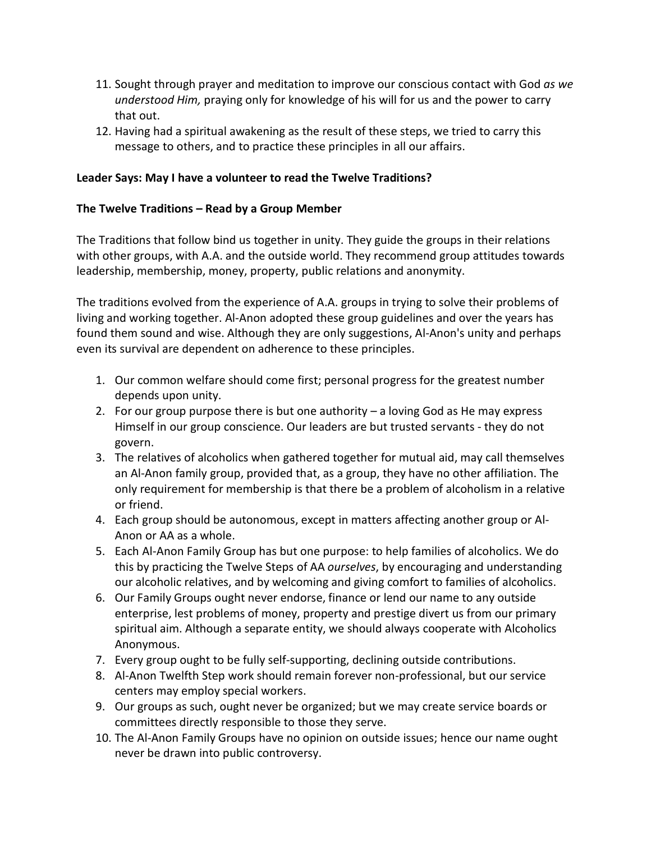- 11. Sought through prayer and meditation to improve our conscious contact with God *as we understood Him,* praying only for knowledge of his will for us and the power to carry that out.
- 12. Having had a spiritual awakening as the result of these steps, we tried to carry this message to others, and to practice these principles in all our affairs.

## **Leader Says: May I have a volunteer to read the Twelve Traditions?**

### **The Twelve Traditions – Read by a Group Member**

The Traditions that follow bind us together in unity. They guide the groups in their relations with other groups, with A.A. and the outside world. They recommend group attitudes towards leadership, membership, money, property, public relations and anonymity.

The traditions evolved from the experience of A.A. groups in trying to solve their problems of living and working together. Al-Anon adopted these group guidelines and over the years has found them sound and wise. Although they are only suggestions, Al-Anon's unity and perhaps even its survival are dependent on adherence to these principles.

- 1. Our common welfare should come first; personal progress for the greatest number depends upon unity.
- 2. For our group purpose there is but one authority a loving God as He may express Himself in our group conscience. Our leaders are but trusted servants - they do not govern.
- 3. The relatives of alcoholics when gathered together for mutual aid, may call themselves an Al-Anon family group, provided that, as a group, they have no other affiliation. The only requirement for membership is that there be a problem of alcoholism in a relative or friend.
- 4. Each group should be autonomous, except in matters affecting another group or Al-Anon or AA as a whole.
- 5. Each Al-Anon Family Group has but one purpose: to help families of alcoholics. We do this by practicing the Twelve Steps of AA *ourselves*, by encouraging and understanding our alcoholic relatives, and by welcoming and giving comfort to families of alcoholics.
- 6. Our Family Groups ought never endorse, finance or lend our name to any outside enterprise, lest problems of money, property and prestige divert us from our primary spiritual aim. Although a separate entity, we should always cooperate with Alcoholics Anonymous.
- 7. Every group ought to be fully self-supporting, declining outside contributions.
- 8. Al-Anon Twelfth Step work should remain forever non-professional, but our service centers may employ special workers.
- 9. Our groups as such, ought never be organized; but we may create service boards or committees directly responsible to those they serve.
- 10. The Al-Anon Family Groups have no opinion on outside issues; hence our name ought never be drawn into public controversy.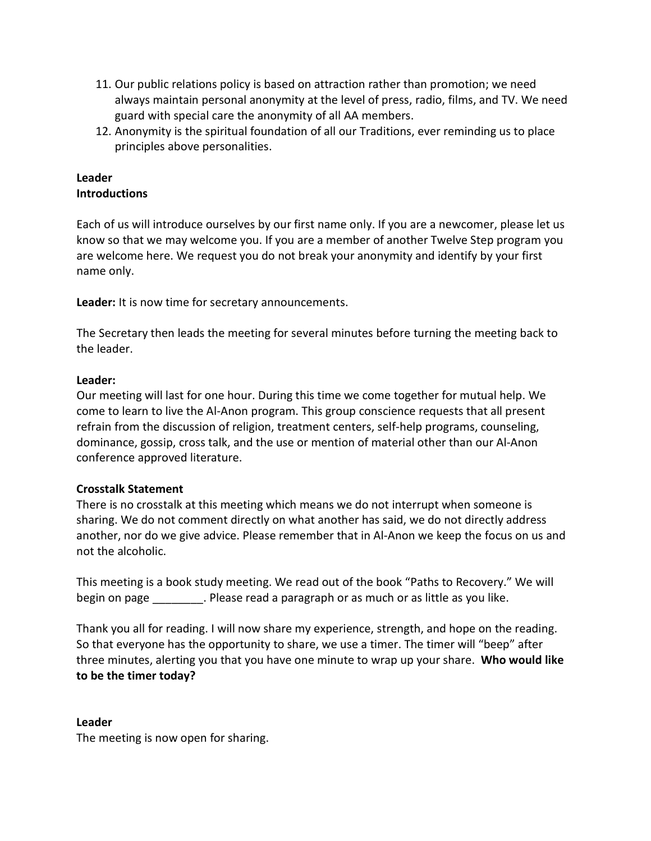- 11. Our public relations policy is based on attraction rather than promotion; we need always maintain personal anonymity at the level of press, radio, films, and TV. We need guard with special care the anonymity of all AA members.
- 12. Anonymity is the spiritual foundation of all our Traditions, ever reminding us to place principles above personalities.

# **Leader Introductions**

Each of us will introduce ourselves by our first name only. If you are a newcomer, please let us know so that we may welcome you. If you are a member of another Twelve Step program you are welcome here. We request you do not break your anonymity and identify by your first name only.

**Leader:** It is now time for secretary announcements.

The Secretary then leads the meeting for several minutes before turning the meeting back to the leader.

## **Leader:**

Our meeting will last for one hour. During this time we come together for mutual help. We come to learn to live the Al-Anon program. This group conscience requests that all present refrain from the discussion of religion, treatment centers, self-help programs, counseling, dominance, gossip, cross talk, and the use or mention of material other than our Al-Anon conference approved literature.

# **Crosstalk Statement**

There is no crosstalk at this meeting which means we do not interrupt when someone is sharing. We do not comment directly on what another has said, we do not directly address another, nor do we give advice. Please remember that in Al-Anon we keep the focus on us and not the alcoholic.

This meeting is a book study meeting. We read out of the book "Paths to Recovery." We will begin on page **Example 2.** Please read a paragraph or as much or as little as you like.

Thank you all for reading. I will now share my experience, strength, and hope on the reading. So that everyone has the opportunity to share, we use a timer. The timer will "beep" after three minutes, alerting you that you have one minute to wrap up your share. **Who would like to be the timer today?**

#### **Leader**

The meeting is now open for sharing.